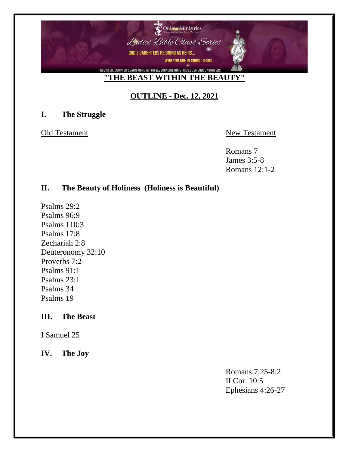

# **OUTLINE - Dec. 12, 2021**

### **I. The Struggle**

Old Testament New Testament

Romans 7 James 3:5-8 Romans 12:1-2

## **II. The Beauty of Holiness (Holiness is Beautiful)**

Psalms 29:2 Psalms 96:9 Psalms 110:3 Psalms 17:8 Zechariah 2:8 Deuteronomy 32:10 Proverbs 7:2 Psalms 91:1 Psalms 23:1 Psalms 34 Psalms 19

### **III. The Beast**

I Samuel 25

**IV. The Joy**

Romans 7:25-8:2 II Cor. 10:5 Ephesians 4:26-27